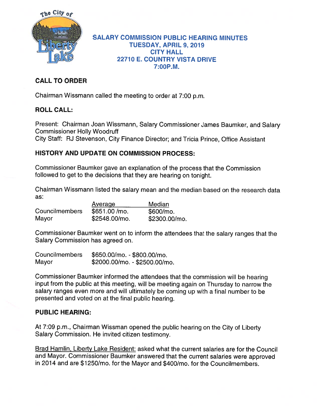

#### SALARY COMMISSION PUBLIC HEARING MINUTES TUESDAY, APRIL 9, 2019 CITY HALL 22710 E. COUNTRY VISTA DRIVE 7:00P.M.

# CALL TO ORDER

Chairman Wissmann called the meeting to order at 7:00 p.m.

## ROLL CALL:

Present: Chairman Joan Wissmann, Salary Commissioner James Baumker, and Salary Commissioner Holly Woodruff

City Staff: RJ Stevenson, City Finance Director; and Tricia Prince, Office Assistant

## HISTORY AND UPDATE ON COMMISSION PROCESS:

Commissioner Baumker gave an explanation of the process that the Commission followed to ge<sup>t</sup> to the decisions that they are hearing on tonight.

Chairman Wissmann listed the salary mean and the median based on the research data as:

|                       | Average       | Median        |
|-----------------------|---------------|---------------|
| <b>Councilmembers</b> | \$651.00/mo.  | \$600/mo.     |
| Mayor                 | \$2548.00/mo. | \$2300.00/mo. |

Commissioner Baumker went on to inform the attendees that the salary ranges that the Salary Commission has agreed on.

| <b>Councilmembers</b> | \$650.00/mo. - \$800.00/mo.   |
|-----------------------|-------------------------------|
| Mayor                 | \$2000.00/mo. - \$2500.00/mo. |

Commissioner Baumker informed the attendees that the commission will be hearing input from the public at this meeting, will be meeting again on Thursday to narrow the salary ranges even more and will ultimately be coming up with <sup>a</sup> final number to be presented and voted on at the final public hearing.

## PUBLIC HEARING:

At 7:09 p.m., Chairman Wissman opene<sup>d</sup> the public hearing on the City of Liberty Salary Commission. He invited citizen testimony.

Brad Hamlin, Liberty Lake Resident: asked what the current salaries are for the Council and Mayor. Commissioner Baumker answered that the current salaries were approve<sup>d</sup> in <sup>2014</sup> and are \$1250/mo. for the Mayor and \$400/mo. for the Councilmembers.